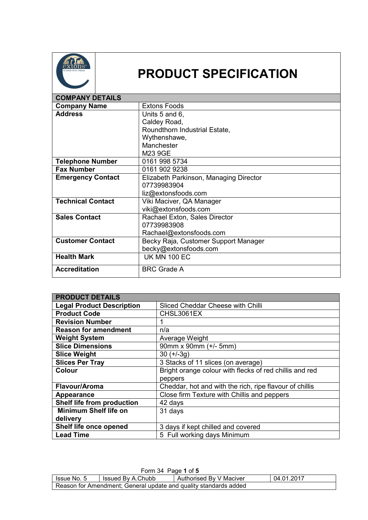

## **PRODUCT SPECIFICATION**

| <b>COMPANY DETAILS</b>   |                                        |
|--------------------------|----------------------------------------|
| <b>Company Name</b>      | <b>Extons Foods</b>                    |
| <b>Address</b>           | Units 5 and 6,                         |
|                          | Caldey Road,                           |
|                          | Roundthorn Industrial Estate,          |
|                          | Wythenshawe,                           |
|                          | Manchester                             |
|                          | M23 9GE                                |
| <b>Telephone Number</b>  | 0161 998 5734                          |
| <b>Fax Number</b>        | 0161 902 9238                          |
| <b>Emergency Contact</b> | Elizabeth Parkinson, Managing Director |
|                          | 07739983904                            |
|                          | liz@extonsfoods.com                    |
| <b>Technical Contact</b> | Viki Maciver, QA Manager               |
|                          | viki@extonsfoods.com                   |
| <b>Sales Contact</b>     | Rachael Exton, Sales Director          |
|                          | 07739983908                            |
|                          | Rachael@extonsfoods.com                |
| <b>Customer Contact</b>  | Becky Raja, Customer Support Manager   |
|                          | becky@extonsfoods.com                  |
| <b>Health Mark</b>       | <b>UK MN 100 EC</b>                    |
| <b>Accreditation</b>     | <b>BRC Grade A</b>                     |

| <b>PRODUCT DETAILS</b>           |                                                         |
|----------------------------------|---------------------------------------------------------|
| <b>Legal Product Description</b> | Sliced Cheddar Cheese with Chilli                       |
| <b>Product Code</b>              | CHSL3061EX                                              |
| <b>Revision Number</b>           | 1                                                       |
| <b>Reason for amendment</b>      | n/a                                                     |
| <b>Weight System</b>             | Average Weight                                          |
| <b>Slice Dimensions</b>          | 90mm x 90mm (+/- 5mm)                                   |
| <b>Slice Weight</b>              | $30 (+/-3q)$                                            |
| <b>Slices Per Tray</b>           | 3 Stacks of 11 slices (on average)                      |
| <b>Colour</b>                    | Bright orange colour with flecks of red chillis and red |
|                                  | peppers                                                 |
| Flavour/Aroma                    | Cheddar, hot and with the rich, ripe flavour of chillis |
| Appearance                       | Close firm Texture with Chillis and peppers             |
| Shelf life from production       | 42 days                                                 |
| <b>Minimum Shelf life on</b>     | 31 days                                                 |
| delivery                         |                                                         |
| Shelf life once opened           | 3 days if kept chilled and covered                      |
| <b>Lead Time</b>                 | 5 Full working days Minimum                             |

|                                                                  | Form 34 Page 1 of 5 |                         |            |
|------------------------------------------------------------------|---------------------|-------------------------|------------|
| I Issue No. 5                                                    | Issued By A.Chubb   | Authorised By V Maciver | 04.01.2017 |
| Reason for Amendment; General update and quality standards added |                     |                         |            |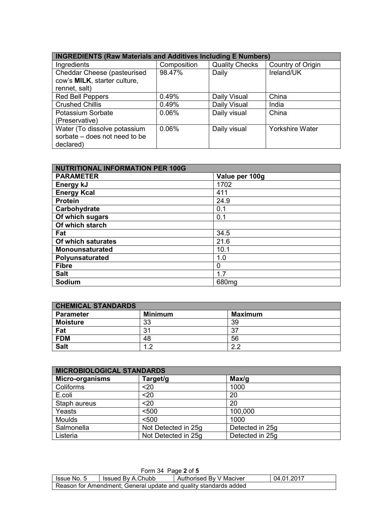| <b>INGREDIENTS (Raw Materials and Additives Including E Numbers)</b> |             |                       |                        |
|----------------------------------------------------------------------|-------------|-----------------------|------------------------|
| Ingredients                                                          | Composition | <b>Quality Checks</b> | Country of Origin      |
| Cheddar Cheese (pasteurised                                          | 98.47%      | Daily                 | Ireland/UK             |
| cow's MILK, starter culture.                                         |             |                       |                        |
| rennet, salt)                                                        |             |                       |                        |
| <b>Red Bell Peppers</b>                                              | 0.49%       | Daily Visual          | China                  |
| <b>Crushed Chillis</b>                                               | 0.49%       | Daily Visual          | India                  |
| Potassium Sorbate                                                    | 0.06%       | Daily visual          | China                  |
| (Preservative)                                                       |             |                       |                        |
| Water (To dissolve potassium                                         | 0.06%       | Daily visual          | <b>Yorkshire Water</b> |
| sorbate – does not need to be                                        |             |                       |                        |
| declared)                                                            |             |                       |                        |

| <b>NUTRITIONAL INFORMATION PER 100G</b> |                   |  |
|-----------------------------------------|-------------------|--|
| <b>PARAMETER</b>                        | Value per 100g    |  |
| Energy kJ                               | 1702              |  |
| <b>Energy Kcal</b>                      | 411               |  |
| <b>Protein</b>                          | 24.9              |  |
| Carbohydrate                            | 0.1               |  |
| Of which sugars                         | 0.1               |  |
| Of which starch                         |                   |  |
| Fat                                     | 34.5              |  |
| Of which saturates                      | 21.6              |  |
| <b>Monounsaturated</b>                  | 10.1              |  |
| Polyunsaturated                         | 1.0               |  |
| <b>Fibre</b>                            | 0                 |  |
| <b>Salt</b>                             | 1.7               |  |
| Sodium                                  | 680 <sub>mg</sub> |  |

| <b>CHEMICAL STANDARDS</b> |                |                |
|---------------------------|----------------|----------------|
| <b>Parameter</b>          | <b>Minimum</b> | <b>Maximum</b> |
| <b>Moisture</b>           | 33             | 39             |
| Fat                       | 31             | 27             |
| <b>FDM</b>                | 48             | 56             |
| <b>Salt</b>               | ◠              | c<br>⌒         |

| <b>MICROBIOLOGICAL STANDARDS</b> |                     |                 |  |
|----------------------------------|---------------------|-----------------|--|
| <b>Micro-organisms</b>           | Target/g            | Max/g           |  |
| Coliforms                        | $20$                | 1000            |  |
| E.coli                           | $20$                | 20              |  |
| Staph aureus                     | $20$                | 20              |  |
| Yeasts                           | < 500               | 100,000         |  |
| <b>Moulds</b>                    | < 500               | 1000            |  |
| Salmonella                       | Not Detected in 25g | Detected in 25g |  |
| Listeria                         | Not Detected in 25g | Detected in 25g |  |

| Form 34 Page 2 of 5                                              |                   |                         |            |
|------------------------------------------------------------------|-------------------|-------------------------|------------|
| Issue No. 5                                                      | Issued By A.Chubb | Authorised By V Maciver | 04.01.2017 |
| Reason for Amendment; General update and quality standards added |                   |                         |            |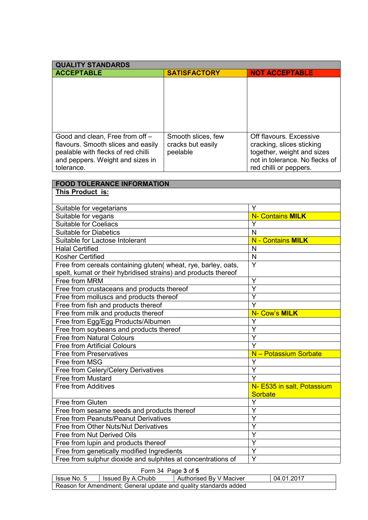| <b>QUALITY STANDARDS</b>           |                     |                                |
|------------------------------------|---------------------|--------------------------------|
| <b>ACCEPTABLE</b>                  | <b>SATISFACTORY</b> | <b>NOT ACCEPTABLE</b>          |
|                                    |                     |                                |
|                                    |                     |                                |
|                                    |                     |                                |
|                                    |                     |                                |
|                                    |                     |                                |
|                                    |                     |                                |
| Good and clean, Free from off -    | Smooth slices, few  | Off flavours. Excessive        |
| flavours. Smooth slices and easily | cracks but easily   | cracking, slices sticking      |
| pealable with flecks of red chilli | peelable            | together, weight and sizes     |
| and peppers. Weight and sizes in   |                     | not in tolerance. No flecks of |
| tolerance.                         |                     | red chilli or peppers.         |

| <b>FOOD TOLERANCE INFORMATION</b>                              |                            |
|----------------------------------------------------------------|----------------------------|
| This Product is:                                               |                            |
|                                                                |                            |
| Suitable for vegetarians                                       | Y                          |
| Suitable for vegans                                            | <b>N- Contains MILK</b>    |
| <b>Suitable for Coeliacs</b>                                   | Ý                          |
| <b>Suitable for Diabetics</b>                                  | N                          |
| Suitable for Lactose Intolerant                                | <b>N</b> - Contains MILK   |
| <b>Halal Certified</b>                                         | N                          |
| <b>Kosher Certified</b>                                        | N                          |
| Free from cereals containing gluten( wheat, rye, barley, oats, | Y                          |
| spelt, kumat or their hybridised strains) and products thereof |                            |
| Free from MRM                                                  | Y                          |
| Free from crustaceans and products thereof                     | Y                          |
| Free from molluscs and products thereof                        | Ÿ                          |
| Free from fish and products thereof                            | $\overline{\mathsf{Y}}$    |
| Free from milk and products thereof                            | N- Cow's MILK              |
| Free from Egg/Egg Products/Albumen                             | Y                          |
| Free from soybeans and products thereof                        | Ý                          |
| <b>Free from Natural Colours</b>                               | Y                          |
| <b>Free from Artificial Colours</b>                            | Y                          |
| <b>Free from Preservatives</b>                                 | N - Potassium Sorbate      |
| Free from MSG                                                  | Y                          |
| Free from Celery/Celery Derivatives                            | Y                          |
| Free from Mustard                                              | Ý                          |
| Free from Additives                                            | N- E535 in salt, Potassium |
|                                                                | <b>Sorbate</b>             |
| Free from Gluten                                               | Ý                          |
| Free from sesame seeds and products thereof                    | Ý                          |
| Free from Peanuts/Peanut Derivatives                           | Y                          |
| Free from Other Nuts/Nut Derivatives                           | Ÿ                          |
| Free from Nut Derived Oils                                     | Ý                          |
| Free from lupin and products thereof                           | Y                          |
| Free from genetically modified Ingredients                     | Y                          |
| Free from sulphur dioxide and sulphites at concentrations of   | Y                          |

Form 34 Page **3** of **5**

| Issue No. 5 | Issued By A.Chubb                                                | Authorised By V Maciver | 04.01.2017 |
|-------------|------------------------------------------------------------------|-------------------------|------------|
|             | Reason for Amendment; General update and quality standards added |                         |            |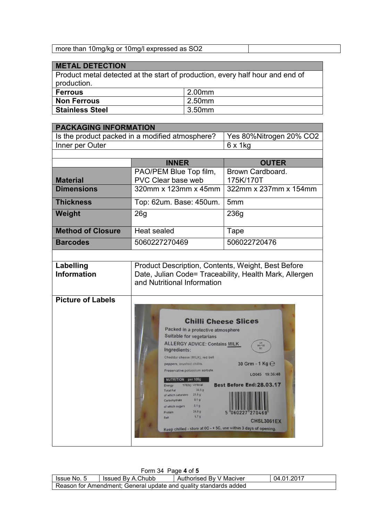## **METAL DETECTION**

Product metal detected at the start of production, every half hour and end of production. **Ferrous** 2.00mm

| I FEIIUUS.             | 2.0011111 |
|------------------------|-----------|
| <b>Non Ferrous</b>     | 2.50mm    |
| <b>Stainless Steel</b> | 3.50mm    |

|                                                 | <b>PACKAGING INFORMATION</b>                                                                                                                                                                                                                                                                                                                                                                                                                                                                                                                                                                                                                                                                                  |                                                        |  |  |  |
|-------------------------------------------------|---------------------------------------------------------------------------------------------------------------------------------------------------------------------------------------------------------------------------------------------------------------------------------------------------------------------------------------------------------------------------------------------------------------------------------------------------------------------------------------------------------------------------------------------------------------------------------------------------------------------------------------------------------------------------------------------------------------|--------------------------------------------------------|--|--|--|
| Is the product packed in a modified atmosphere? |                                                                                                                                                                                                                                                                                                                                                                                                                                                                                                                                                                                                                                                                                                               | Yes 80%Nitrogen 20% CO2                                |  |  |  |
| Inner per Outer                                 |                                                                                                                                                                                                                                                                                                                                                                                                                                                                                                                                                                                                                                                                                                               | $6 \times 1$ kg                                        |  |  |  |
|                                                 |                                                                                                                                                                                                                                                                                                                                                                                                                                                                                                                                                                                                                                                                                                               |                                                        |  |  |  |
|                                                 | <b>INNER</b>                                                                                                                                                                                                                                                                                                                                                                                                                                                                                                                                                                                                                                                                                                  | <b>OUTER</b>                                           |  |  |  |
| <b>Material</b>                                 | PAO/PEM Blue Top film,<br>PVC Clear base web                                                                                                                                                                                                                                                                                                                                                                                                                                                                                                                                                                                                                                                                  | Brown Cardboard.<br>175K/170T                          |  |  |  |
| <b>Dimensions</b>                               | 320mm x 123mm x 45mm                                                                                                                                                                                                                                                                                                                                                                                                                                                                                                                                                                                                                                                                                          | 322mm x 237mm x 154mm                                  |  |  |  |
|                                                 |                                                                                                                                                                                                                                                                                                                                                                                                                                                                                                                                                                                                                                                                                                               |                                                        |  |  |  |
| <b>Thickness</b>                                | Top: 62um. Base: 450um.                                                                                                                                                                                                                                                                                                                                                                                                                                                                                                                                                                                                                                                                                       | 5 <sub>mm</sub>                                        |  |  |  |
| Weight                                          | 26 <sub>g</sub>                                                                                                                                                                                                                                                                                                                                                                                                                                                                                                                                                                                                                                                                                               | 236g                                                   |  |  |  |
| <b>Method of Closure</b>                        | <b>Heat sealed</b>                                                                                                                                                                                                                                                                                                                                                                                                                                                                                                                                                                                                                                                                                            | Tape                                                   |  |  |  |
| <b>Barcodes</b>                                 | 5060227270469                                                                                                                                                                                                                                                                                                                                                                                                                                                                                                                                                                                                                                                                                                 | 506022720476                                           |  |  |  |
|                                                 |                                                                                                                                                                                                                                                                                                                                                                                                                                                                                                                                                                                                                                                                                                               |                                                        |  |  |  |
| Labelling<br><b>Information</b>                 | Product Description, Contents, Weight, Best Before<br>and Nutritional Information                                                                                                                                                                                                                                                                                                                                                                                                                                                                                                                                                                                                                             | Date, Julian Code= Traceability, Health Mark, Allergen |  |  |  |
| <b>Picture of Labels</b>                        | <b>Chilli Cheese Slices</b><br>Packed in a protective atmosphere<br><b>Suitable for vegetarians</b><br><b>ALLERGY ADVICE: Contains MILK</b><br><b>MN 100</b><br>Ingredients:<br>Cheddar cheese (MILK), red bell<br>30 Grm - 1 Kg $\Theta$<br>peppers, crushed chillis.<br>Preservative:potassium sorbate.<br>LO045 19:36:48<br>NUTRITION per 100g<br><b>Best Before End: 28.03.17</b><br>1702kj / 411kcal<br>Energy<br>34.5 g<br><b>Total Fat</b><br>of which saturates 21.6 g<br>0.1 <sub>g</sub><br>Carbohydrate<br>0.1 <sub>g</sub><br>of which sugars<br>24.9g<br>Protein<br>"060227<br>1.7 <sub>g</sub><br>Salt<br><b>CHSL3061EX</b><br>Keep chilled - store at 0C - + 5C, use within 3 days of opening. |                                                        |  |  |  |

| Form 34 Page 4 of 5                                              |                   |                         |            |  |  |
|------------------------------------------------------------------|-------------------|-------------------------|------------|--|--|
| Issue No. 5                                                      | Issued By A.Chubb | Authorised By V Maciver | 04.01.2017 |  |  |
| Reason for Amendment; General update and quality standards added |                   |                         |            |  |  |